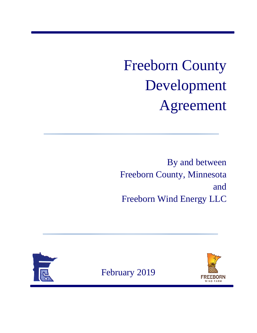# Freeborn County Development Agreement

By and between Freeborn County, Minnesota and Freeborn Wind Energy LLC

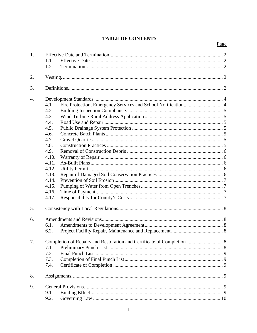# **TABLE OF CONTENTS**

| 1. | 1.1.<br>1.2.                                                                                                                                 |
|----|----------------------------------------------------------------------------------------------------------------------------------------------|
| 2. |                                                                                                                                              |
| 3. |                                                                                                                                              |
| 4. | 4.1.<br>4.2.<br>4.3.<br>4.4.<br>4.5.<br>4.6.<br>4.7.<br>4.8.<br>4.9.<br>4.10.<br>4.11.<br>4.12.<br>4.13.<br>4.14.<br>4.15.<br>4.16.<br>4.17. |
| 5. |                                                                                                                                              |
| 6. | 6.1.<br>6.2.                                                                                                                                 |
| 7. | Completion of Repairs and Restoration and Certificate of Completion  8<br>7.1.<br>7.2.<br>7.3.<br>7.4.                                       |
| 8. |                                                                                                                                              |
| 9. | 9.1.<br>9.2.                                                                                                                                 |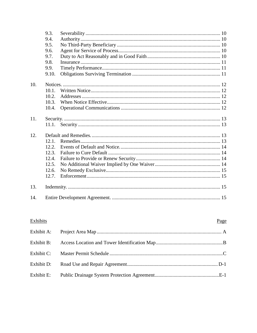|     | 9.3.  |  |
|-----|-------|--|
|     | 9.4.  |  |
|     | 9.5.  |  |
|     | 9.6.  |  |
|     | 9.7.  |  |
|     | 9.8.  |  |
|     | 9.9.  |  |
|     | 9.10. |  |
| 10. |       |  |
|     | 10.1. |  |
|     | 10.2. |  |
|     | 10.3. |  |
|     | 10.4. |  |
| 11. |       |  |
|     |       |  |
| 12. |       |  |
|     | 12.1. |  |
|     | 12.2. |  |
|     | 12.3. |  |
|     | 12.4. |  |
|     | 12.5. |  |
|     | 12.6. |  |
|     | 12.7. |  |
| 13. |       |  |
| 14. |       |  |

| Exhibits   | Page |
|------------|------|
| Exhibit A: |      |
| Exhibit B: |      |
| Exhibit C: |      |
| Exhibit D: |      |
| Exhibit E: |      |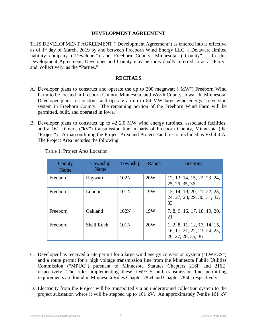#### **DEVELOPMENT AGREEMENT**

THIS DEVELOPMENT AGREEMENT ("Development Agreement") as entered into is effective as of 1st day of March, 2019 by and between Freeborn Wind Energy LLC, a Delaware limited liability company ("Developer") and Freeborn County, Minnesota, ("County"). In this Development Agreement, Developer and County may be individually referred to as a "Party" and, collectively, as the "Parties."

#### **RECITALS**

- A. Developer plans to construct and operate the up to 200 megawatt ("MW") Freeborn Wind Farm to be located in Freeborn County, Minnesota, and Worth County, Iowa. In Minnesota, Developer plans to construct and operate an up to 84 MW large wind energy conversion system in Freeborn County. The remaining portion of the Freeborn Wind Farm will be permitted, built, and operated in Iowa.
- B. Developer plans to construct up to 42 2.0 MW wind energy turbines, associated facilities, and a 161 kilovolt ("kV") transmission line in parts of Freeborn County, Minnesota (the "Project"). A map outlining the Project Area and Project Facilities is included as Exhibit A. The Project Area includes the following:

| County<br>Name | Township<br>Name  | Township         | Range | <b>Sections</b>                                                                   |
|----------------|-------------------|------------------|-------|-----------------------------------------------------------------------------------|
| Freeborn       | Hayward           | 102N             | 20W   | 12, 13, 14, 15, 22, 23, 24,<br>25, 26, 35, 36                                     |
| Freeborn       | London            | 101 <sub>N</sub> | 19W   | 13, 14, 19, 20, 21, 22, 23,<br>24, 27, 28, 29, 30, 31, 32,<br>33                  |
| Freeborn       | Oakland           | 102N             | 19W   | 7, 8, 9, 16, 17, 18, 19, 20,<br>21                                                |
| Freeborn       | <b>Shell Rock</b> | 101N             | 20W   | 1, 2, 8, 11, 12, 13, 14, 15,<br>16, 17, 21, 22, 23, 24, 25,<br>26, 27, 28, 35, 36 |

Table 1: Project Area Location

- C. Developer has received a site permit for a large wind energy conversion system ("LWECS") and a route permit for a high voltage transmission line from the Minnesota Public Utilities Commission ("MPUC") pursuant to Minnesota Statutes Chapters 216F and 216E, respectively. The rules implementing these LWECS and transmission line permitting requirements are found in Minnesota Rules Chapter 7854 and Chapter 7850, respectively.
- D. Electricity from the Project will be transported via an underground collection system to the project substation where it will be stepped up to 161 kV. An approximately 7-mile 161 kV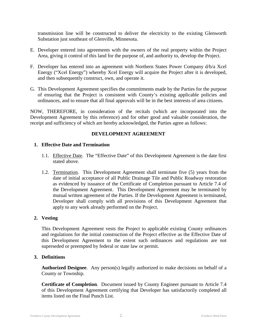transmission line will be constructed to deliver the electricity to the existing Glenworth Substation just southeast of Glenville, Minnesota.

- E. Developer entered into agreements with the owners of the real property within the Project Area, giving it control of this land for the purpose of, and authority to, develop the Project.
- F. Developer has entered into an agreement with Northern States Power Company d/b/a Xcel Energy ("Xcel Energy") whereby Xcel Energy will acquire the Project after it is developed, and then subsequently construct, own, and operate it.
- G. This Development Agreement specifies the commitments made by the Parties for the purpose of ensuring that the Project is consistent with County's existing applicable policies and ordinances, and to ensure that all final approvals will be in the best interests of area citizens.

NOW, THEREFORE, in consideration of the recitals (which are incorporated into the Development Agreement by this reference) and for other good and valuable consideration, the receipt and sufficiency of which are hereby acknowledged, the Parties agree as follows:

#### **DEVELOPMENT AGREEMENT**

#### **1. Effective Date and Termination**

- 1.1. Effective Date. The "Effective Date" of this Development Agreement is the date first stated above.
- 1.2. Termination. This Development Agreement shall terminate five (5) years from the date of initial acceptance of all Public Drainage Tile and Public Roadway restoration as evidenced by issuance of the Certificate of Completion pursuant to Article 7.4 of the Development Agreement. This Development Agreement may be terminated by mutual written agreement of the Parties. If the Development Agreement is terminated, Developer shall comply with all provisions of this Development Agreement that apply to any work already performed on the Project.

#### **2. Vesting**

This Development Agreement vests the Project to applicable existing County ordinances and regulations for the initial construction of the Project effective as the Effective Date of this Development Agreement to the extent such ordinances and regulations are not superseded or preempted by federal or state law or permit.

#### **3. Definitions**

**Authorized Designee**. Any person(s) legally authorized to make decisions on behalf of a County or Township.

**Certificate of Completion**. Document issued by County Engineer pursuant to Article 7.4 of this Development Agreement certifying that Developer has satisfactorily completed all items listed on the Final Punch List.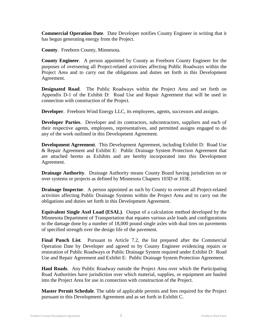**Commercial Operation Date**. Date Developer notifies County Engineer in writing that it has begun generating energy from the Project.

**County**. Freeborn County, Minnesota.

**County Engineer**. A person appointed by County as Freeborn County Engineer for the purposes of overseeing all Project-related activities affecting Public Roadways within the Project Area and to carry out the obligations and duties set forth in this Development Agreement.

**Designated Road**. The Public Roadways within the Project Area and set forth on Appendix D-1 of the Exhibit D: Road Use and Repair Agreement that will be used in connection with construction of the Project.

**Developer**. Freeborn Wind Energy LLC, its employees, agents, successors and assigns.

**Developer Parties**. Developer and its contractors, subcontractors, suppliers and each of their respective agents, employees, representatives, and permitted assigns engaged to do any of the work outlined in this Development Agreement.

**Development Agreement**. This Development Agreement, including Exhibit D: Road Use & Repair Agreement and Exhibit E: Public Drainage System Protection Agreement that are attached hereto as Exhibits and are hereby incorporated into this Development Agreement.

**Drainage Authority**. Drainage Authority means County Board having jurisdiction on or over systems or projects as defined by Minnesota Chapters 103D or 103E.

**Drainage Inspector.** A person appointed as such by County to oversee all Project-related activities affecting Public Drainage Systems within the Project Area and to carry out the obligations and duties set forth in this Development Agreement.

**Equivalent Single Axel Load (ESAL)**. Output of a calculation method developed by the Minnesota Department of Transportation that equates various axle loads and configurations to the damage done by a number of 18,000 pound single axles with dual tires on pavements of specified strength over the design life of the pavement.

**Final Punch List**. Pursuant to Article 7.2, the list prepared after the Commercial Operation Date by Developer and agreed to by County Engineer evidencing repairs or restoration of Public Roadways or Public Drainage System required under Exhibit D: Road Use and Repair Agreement and Exhibit E: Public Drainage System Protection Agreement.

**Haul Roads**. Any Public Roadway outside the Project Area over which the Participating Road Authorities have jurisdiction over which material, supplies, or equipment are hauled into the Project Area for use in connection with construction of the Project.

**Master Permit Schedule**. The table of applicable permits and fees required for the Project pursuant to this Development Agreement and as set forth in Exhibit C.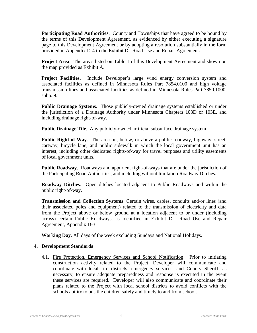**Participating Road Authorities**. County and Townships that have agreed to be bound by the terms of this Development Agreement, as evidenced by either executing a signature page to this Development Agreement or by adopting a resolution substantially in the form provided in Appendix D-4 to the Exhibit D: Road Use and Repair Agreement.

**Project Area**. The areas listed on Table 1 of this Development Agreement and shown on the map provided as Exhibit A.

**Project Facilities**. Include Developer's large wind energy conversion system and associated facilities as defined in Minnesota Rules Part 7854.0100 and high voltage transmission lines and associated facilities as defined in Minnesota Rules Part 7850.1000, subp. 9.

**Public Drainage Systems**. Those publicly-owned drainage systems established or under the jurisdiction of a Drainage Authority under Minnesota Chapters 103D or 103E, and including drainage right-of-way.

**Public Drainage Tile**. Any publicly-owned artificial subsurface drainage system.

**Public Right-of-Way**. The area on, below, or above a public roadway, highway, street, cartway, bicycle lane, and public sidewalk in which the local government unit has an interest, including other dedicated rights-of-way for travel purposes and utility easements of local government units.

**Public Roadway**. Roadways and appurtent right-of-ways that are under the jurisdiction of the Participating Road Authorities, and including without limitation Roadway Ditches.

**Roadway Ditches**. Open ditches located adjacent to Public Roadways and within the public right-of-way.

**Transmission and Collection Systems**. Certain wires, cables, conduits and/or lines (and their associated poles and equipment) related to the transmission of electricity and data from the Project above or below ground at a location adjacent to or under (including across) certain Public Roadways, as identified in Exhibit D: Road Use and Repair Agreement, Appendix D-3.

**Working Day**. All days of the week excluding Sundays and National Holidays.

#### **4. Development Standards**

4.1. Fire Protection, Emergency Services and School Notification. Prior to initiating construction activity related to the Project, Developer will communicate and coordinate with local fire districts, emergency services, and County Sheriff, as necessary, to ensure adequate preparedness and response is executed in the event these services are required. Developer will also communicate and coordinate their plans related to the Project with local school districts to avoid conflicts with the schools ability to bus the children safely and timely to and from school.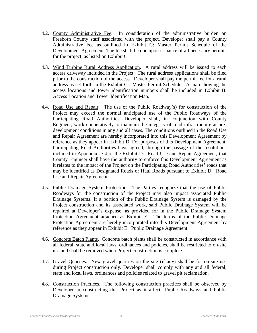- 4.2. County Administrative Fee. In consideration of the administrative burden on Freeborn County staff associated with the project. Developer shall pay a County Administrative Fee as outlined in Exhibit C: Master Permit Schedule of the Development Agreement. The fee shall be due upon issuance of all necessary permits for the project, as listed on Exhibit C.
- 4.3. Wind Turbine Rural Address Application. A rural address will be issued to each access driveway included in the Project. The rural address applications shall be filed prior to the construction of the access. Developer shall pay the permit fee for a rural address as set forth in the Exhibit C: Master Permit Schedule. A map showing the access locations and tower identification numbers shall be included in Exhibit B: Access Location and Tower Identification Map.
- 4.4. Road Use and Repair. The use of the Public Roadway(s) for construction of the Project may exceed the normal anticipated use of the Public Roadways of the Participating Road Authorities. Developer shall, in conjunction with County Engineer, work cooperatively to maintain the integrity of road infrastructure at predevelopment conditions in any and all cases. The conditions outlined in the Road Use and Repair Agreement are hereby incorporated into this Development Agreement by reference as they appear in Exhibit D. For purposes of this Development Agreement, Participating Road Authorities have agreed, through the passage of the resolutions included in Appendix D-4 of the Exhibit D: Road Use and Repair Agreement, that County Engineer shall have the authority to enforce this Development Agreement as it relates to the impact of the Project on the Participating Road Authorities' roads that may be identified as Designated Roads or Haul Roads pursuant to Exhibit D: Road Use and Repair Agreement.
- 4.5. Public Drainage System Protection. The Parties recognize that the use of Public Roadways for the construction of the Project may also impact associated Public Drainage Systems. If a portion of the Public Drainage System is damaged by the Project construction and its associated work, said Public Drainage System will be repaired at Developer's expense, as provided for in the Public Drainage System Protection Agreement attached as Exhibit E. The terms of the Public Drainage Protection Agreement are hereby incorporated into this Development Agreement by reference as they appear in Exhibit E: Public Drainage Agreement.
- 4.6. Concrete Batch Plants. Concrete batch plants shall be constructed in accordance with all federal, state and local laws, ordinances and policies, shall be restricted to on-site use and shall be removed when Project construction is complete.
- 4.7. Gravel Quarries. New gravel quarries on the site (if any) shall be for on-site use during Project construction only. Developer shall comply with any and all federal, state and local laws, ordinances and policies related to gravel pit reclamation.
- 4.8. Construction Practices. The following construction practices shall be observed by Developer in constructing this Project as it affects Public Roadways and Public Drainage Systems.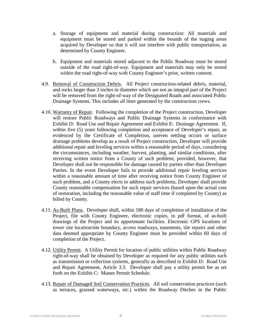- a. Storage of equipment and material during construction: All materials and equipment must be stored and parked within the bounds of the staging areas acquired by Developer so that it will not interfere with public transportation, as determined by County Engineer.
- b. Equipment and materials stored adjacent to the Public Roadway must be stored outside of the road right-of-way. Equipment and materials may only be stored within the road right-of-way with County Engineer's prior, written consent.
- 4.9. Removal of Construction Debris. All Project construction-related debris, material, and rocks larger than 3 inches in diameter which are not an integral part of the Project will be removed from the right-of-way of the Designated Roads and associated Public Drainage Systems. This includes all litter generated by the construction crews.
- 4.10. Warranty of Repair. Following the completion of the Project construction, Developer will restore Public Roadways and Public Drainage Systems in conformance with Exhibit D: Road Use and Repair Agreement and Exhibit E: Drainage Agreement. If, within five (5) years following completion and acceptance of Developer's repair, as evidenced by the Certificate of Completion, uneven settling occurs or surface drainage problems develop as a result of Project construction, Developer will provide additional repair and leveling services within a reasonable period of days, considering the circumstances, including weather, harvest, planting, and similar conditions, after receiving written notice from a County of such problem; provided, however, that Developer shall not be responsible for damage caused by parties other than Developer Parties. In the event Developer fails to provide additional repair leveling services within a reasonable amount of time after receiving notice from County Engineer of such problem, and a County elects to address such problems, Developer shall provide County reasonable compensation for such repair services (based upon the actual cost of restoration, including the reasonable value of staff time if completed by County) as billed by County.
- 4.11. As-Built Plans. Developer shall, within 180 days of completion of installation of the Project, file with County Engineer, electronic copies, in pdf format, of as-built drawings of the Project and its appurtenant facilities. Electronic GPS locations of tower site location/site boundary, access roadways, easements, tile repairs and other data deemed appropriate by County Engineer must be provided within 60 days of completion of the Project.
- 4.12. Utility Permit. A Utility Permit for location of public utilities within Public Roadway right-of-way shall be obtained by Developer as required for any public utilities such as transmission or collection systems, generally as described in Exhibit D: Road Use and Repair Agreement, Article 3.3. Developer shall pay a utility permit fee as set forth on the Exhibit C: Master Permit Schedule.
- 4.13. Repair of Damaged Soil Conservation Practices. All soil conservation practices (such as terraces, grassed waterways, etc.) within the Roadway Ditches in the Public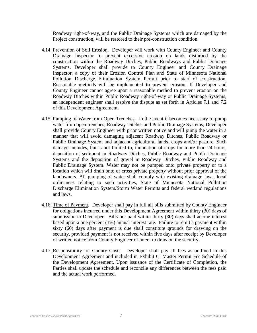Roadway right-of-way, and the Public Drainage Systems which are damaged by the Project construction, will be restored to their pre-construction condition.

- 4.14. Prevention of Soil Erosion. Developer will work with County Engineer and County Drainage Inspector to prevent excessive erosion on lands disturbed by the construction within the Roadway Ditches, Public Roadways and Public Drainage Systems. Developer shall provide to County Engineer and County Drainage Inspector, a copy of their Erosion Control Plan and State of Minnesota National Pollution Discharge Elimination System Permit prior to start of construction. Reasonable methods will be implemented to prevent erosion. If Developer and County Engineer cannot agree upon a reasonable method to prevent erosion on the Roadway Ditches within Public Roadway right-of-way or Public Drainage Systems, an independent engineer shall resolve the dispute as set forth in Articles 7.1 and 7.2 of this Development Agreement.
- 4.15. Pumping of Water from Open Trenches. In the event it becomes necessary to pump water from open trenches, Roadway Ditches and Public Drainage Systems, Developer shall provide County Engineer with prior written notice and will pump the water in a manner that will avoid damaging adjacent Roadway Ditches, Public Roadway or Public Drainage System and adjacent agricultural lands, crops and/or pasture. Such damage includes, but is not limited to, inundation of crops for more than 24 hours, deposition of sediment in Roadway Ditches, Public Roadway and Public Drainage Systems and the deposition of gravel in Roadway Ditches, Public Roadway and Public Drainage System. Water may not be pumped onto private property or to a location which will drain onto or cross private property without prior approval of the landowners. All pumping of water shall comply with existing drainage laws, local ordinances relating to such activities, State of Minnesota National Pollution Discharge Elimination System/Storm Water Permits and federal wetland regulations and laws.
- 4.16. Time of Payment. Developer shall pay in full all bills submitted by County Engineer for obligations incurred under this Development Agreement within thirty (30) days of submission to Developer. Bills not paid within thirty (30) days shall accrue interest based upon a one percent (1%) annual interest rate. Failure to remit a payment within sixty (60) days after payment is due shall constitute grounds for drawing on the security, provided payment is not received within five days after receipt by Developer of written notice from County Engineer of intent to draw on the security.
- 4.17. Responsibility for County Costs. Developer shall pay all fees as outlined in this Development Agreement and included in Exhibit C: Master Permit Fee Schedule of the Development Agreement. Upon issuance of the Certificate of Completion, the Parties shall update the schedule and reconcile any differences between the fees paid and the actual work performed.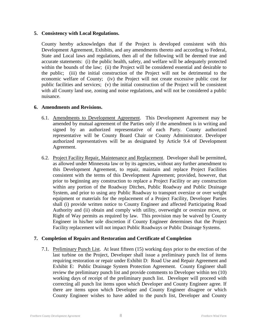#### **5. Consistency with Local Regulations.**

County hereby acknowledges that if the Project is developed consistent with this Development Agreement, Exhibits, and any amendments thereto and according to Federal, State and Local laws and regulations, then all of the following will be deemed true and accurate statements: (i) the public health, safety, and welfare will be adequately protected within the bounds of the law; (ii) the Project will be considered essential and desirable to the public; (iii) the initial construction of the Project will not be detrimental to the economic welfare of County; (iv) the Project will not create excessive public cost for public facilities and services; (v) the initial construction of the Project will be consistent with all County land use, zoning and noise regulations, and will not be considered a public nuisance.

#### **6. Amendments and Revisions.**

- 6.1. Amendments to Development Agreement. This Development Agreement may be amended by mutual agreement of the Parties only if the amendment is in writing and signed by an authorized representative of each Party. County authorized representative will be County Board Chair or County Administrator. Developer authorized representatives will be as designated by Article 9.4 of Development Agreement.
- 6.2. Project Facility Repair, Maintenance and Replacement. Developer shall be permitted, as allowed under Minnesota law or by its agencies, without any further amendment to this Development Agreement, to repair, maintain and replace Project Facilities consistent with the terms of this Development Agreement; provided, however, that prior to beginning any construction to replace a Project Facility or any construction within any portion of the Roadway Ditches, Public Roadway and Public Drainage System, and prior to using any Public Roadway to transport oversize or over weight equipment or materials for the replacement of a Project Facility, Developer Parties shall (i) provide written notice to County Engineer and affected Participating Road Authority and (ii) obtain and comply with utility, overweight or oversize move, or Right of Way permits as required by law. This provision may be waived by County Engineer in his/her sole discretion if County Engineer determines that the Project Facility replacement will not impact Public Roadways or Public Drainage Systems.

#### **7. Completion of Repairs and Restoration and Certificate of Completion**

7.1. Preliminary Punch List. At least fifteen (15) working days prior to the erection of the last turbine on the Project, Developer shall issue a preliminary punch list of items requiring restoration or repair under Exhibit D: Road Use and Repair Agreement and Exhibit E: Public Drainage System Protection Agreement. County Engineer shall review the preliminary punch list and provide comments to Developer within ten (10) working days of receipt of the preliminary punch list. Developer will proceed with correcting all punch list items upon which Developer and County Engineer agree. If there are items upon which Developer and County Engineer disagree or which County Engineer wishes to have added to the punch list, Developer and County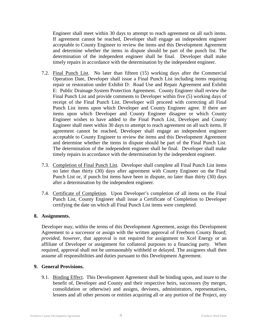Engineer shall meet within 30 days to attempt to reach agreement on all such items. If agreement cannot be reached, Developer shall engage an independent engineer acceptable to County Engineer to review the items and this Development Agreement and determine whether the items in dispute should be part of the punch list. The determination of the independent engineer shall be final. Developer shall make timely repairs in accordance with the determination by the independent engineer.

- 7.2. Final Punch List. No later than fifteen (15) working days after the Commercial Operation Date, Developer shall issue a Final Punch List including items requiring repair or restoration under Exhibit D: Road Use and Repair Agreement and Exhibit E: Public Drainage System Protection Agreement. County Engineer shall review the Final Punch List and provide comments to Developer within five (5) working days of receipt of the Final Punch List. Developer will proceed with correcting all Final Punch List items upon which Developer and County Engineer agree. If there are items upon which Developer and County Engineer disagree or which County Engineer wishes to have added to the Final Punch List, Developer and County Engineer shall meet within 30 days to attempt to reach agreement on all such items. If agreement cannot be reached, Developer shall engage an independent engineer acceptable to County Engineer to review the items and this Development Agreement and determine whether the items in dispute should be part of the Final Punch List. The determination of the independent engineer shall be final. Developer shall make timely repairs in accordance with the determination by the independent engineer.
- 7.3. Completion of Final Punch List. Developer shall complete all Final Punch List items no later than thirty (30) days after agreement with County Engineer on the Final Punch List or, if punch list items have been in dispute, no later than thirty (30) days after a determination by the independent engineer.
- 7.4. Certificate of Completion. Upon Developer's completion of all items on the Final Punch List, County Engineer shall issue a Certificate of Completion to Developer certifying the date on which all Final Punch List items were completed.

#### **8. Assignments.**

Developer may, within the terms of this Development Agreement, assign this Development Agreement to a successor or assign with the written approval of Freeborn County Board; *provided, however*, that approval is not required for assignment to Xcel Energy or an affiliate of Developer or assignment for collateral purposes to a financing party. When required, approval shall not be unreasonably withheld or delayed. The assignees shall then assume all responsibilities and duties pursuant to this Development Agreement.

#### **9. General Provisions.**

9.1. Binding Effect. This Development Agreement shall be binding upon, and inure to the benefit of, Developer and County and their respective heirs, successors (by merger, consolidation or otherwise) and assigns, devisees, administrators, representatives, lessees and all other persons or entities acquiring all or any portion of the Project, any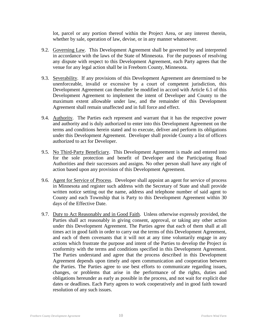lot, parcel or any portion thereof within the Project Area, or any interest therein, whether by sale, operation of law, devise, or in any manner whatsoever.

- 9.2. Governing Law. This Development Agreement shall be governed by and interpreted in accordance with the laws of the State of Minnesota. For the purposes of resolving any dispute with respect to this Development Agreement, each Party agrees that the venue for any legal action shall be in Freeborn County, Minnesota.
- 9.3. Severability. If any provisions of this Development Agreement are determined to be unenforceable, invalid or excessive by a court of competent jurisdiction, this Development Agreement can thereafter be modified in accord with Article 6.1 of this Development Agreement to implement the intent of Developer and County to the maximum extent allowable under law, and the remainder of this Development Agreement shall remain unaffected and in full force and effect.
- 9.4. Authority. The Parties each represent and warrant that it has the respective power and authority and is duly authorized to enter into this Development Agreement on the terms and conditions herein stated and to execute, deliver and perform its obligations under this Development Agreement. Developer shall provide County a list of officers authorized to act for Developer.
- 9.5. No Third-Party Beneficiary. This Development Agreement is made and entered into for the sole protection and benefit of Developer and the Participating Road Authorities and their successors and assigns. No other person shall have any right of action based upon any provision of this Development Agreement.
- 9.6. Agent for Service of Process. Developer shall appoint an agent for service of process in Minnesota and register such address with the Secretary of State and shall provide written notice setting out the name, address and telephone number of said agent to County and each Township that is Party to this Development Agreement within 30 days of the Effective Date.
- 9.7. Duty to Act Reasonably and in Good Faith. Unless otherwise expressly provided, the Parties shall act reasonably in giving consent, approval, or taking any other action under this Development Agreement. The Parties agree that each of them shall at all times act in good faith in order to carry out the terms of this Development Agreement, and each of them covenants that it will not at any time voluntarily engage in any actions which frustrate the purpose and intent of the Parties to develop the Project in conformity with the terms and conditions specified in this Development Agreement. The Parties understand and agree that the process described in this Development Agreement depends upon timely and open communication and cooperation between the Parties. The Parties agree to use best efforts to communicate regarding issues, changes, or problems that arise in the performance of the rights, duties and obligations hereunder as early as possible in the process, and not wait for explicit due dates or deadlines. Each Party agrees to work cooperatively and in good faith toward resolution of any such issues.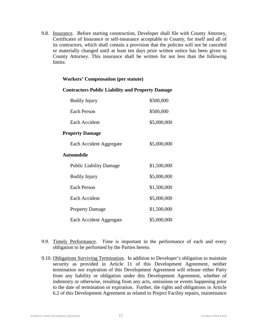9.8. Insurance. Before starting construction, Developer shall file with County Attorney, Certificates of Insurance or self-insurance acceptable to County, for itself and all of its contractors, which shall contain a provision that the policies will not be canceled or materially changed until at least ten days prior written notice has been given to County Attorney. This insurance shall be written for not less than the following limits:

#### **Workers' Compensation (per statute)**

| <b>Bodily Injury</b>           | \$500,000   |
|--------------------------------|-------------|
| Each Person                    | \$500,000   |
| Each Accident                  | \$5,000,000 |
| <b>Property Damage</b>         |             |
| Each Accident Aggregate        | \$5,000,000 |
| <b>Automobile</b>              |             |
| <b>Public Liability Damage</b> | \$1,500,000 |
| <b>Bodily Injury</b>           | \$5,000,000 |
| Each Person                    | \$1,500,000 |
| Each Accident                  | \$5,000,000 |
| <b>Property Damage</b>         | \$1,500,000 |
| Each Accident Aggregate        | \$5,000,000 |

#### **Contractors Public Liability and Property Damage**

- 9.9. Timely Performance. Time is important in the performance of each and every obligation to be performed by the Parties hereto.
- 9.10. Obligations Surviving Termination. In addition to Developer's obligation to maintain security as provided in Article 11 of this Development Agreement, neither termination nor expiration of this Development Agreement will release either Party from any liability or obligation under this Development Agreement, whether of indemnity or otherwise, resulting from any acts, omissions or events happening prior to the date of termination or expiration. Further, the rights and obligations in Article 6.2 of this Development Agreement as related to Project Facility repairs, maintenance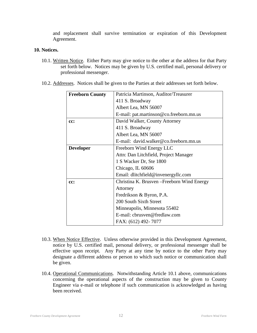and replacement shall survive termination or expiration of this Development Agreement.

#### **10. Notices.**

- 10.1. Written Notice. Either Party may give notice to the other at the address for that Party set forth below. Notices may be given by U.S. certified mail, personal delivery or professional messenger.
- 10.2. Addresses. Notices shall be given to the Parties at their addresses set forth below.

| <b>Freeborn County</b> | Patricia Martinson, Auditor/Treasurer       |  |  |
|------------------------|---------------------------------------------|--|--|
|                        | 411 S. Broadway                             |  |  |
|                        | Albert Lea, MN 56007                        |  |  |
|                        | E-mail: pat.martinson@co.freeborn.mn.us     |  |  |
| cc:                    | David Walker, County Attorney               |  |  |
|                        | 411 S. Broadway                             |  |  |
|                        | Albert Lea, MN 56007                        |  |  |
|                        | E-mail: david.walker@co.freeborn.mn.us      |  |  |
| <b>Developer</b>       | Freeborn Wind Energy LLC                    |  |  |
|                        | Attn: Dan Litchfield, Project Manager       |  |  |
|                        | 1 S Wacker Dr, Ste 1800                     |  |  |
|                        | Chicago, IL 60606                           |  |  |
|                        | Email: dlitchfield@invenergyllc.com         |  |  |
| cc:                    | Christina K. Brusven – Freeborn Wind Energy |  |  |
|                        | Attorney                                    |  |  |
|                        | Fredrikson & Byron, P.A.                    |  |  |
|                        | 200 South Sixth Street                      |  |  |
|                        | Minneapolis, Minnesota 55402                |  |  |
|                        | E-mail: cbrusven@fredlaw.com                |  |  |
|                        | FAX: (612) 492-7077                         |  |  |

- 10.3. When Notice Effective. Unless otherwise provided in this Development Agreement, notice by U.S. certified mail, personal delivery, or professional messenger shall be effective upon receipt. Any Party at any time by notice to the other Party may designate a different address or person to which such notice or communication shall be given.
- 10.4. Operational Communications. Notwithstanding Article 10.1 above, communications concerning the operational aspects of the construction may be given to County Engineer via e-mail or telephone if such communication is acknowledged as having been received.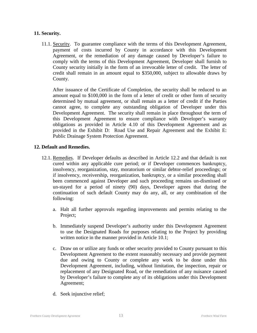#### **11. Security.**

11.1. Security. To guarantee compliance with the terms of this Development Agreement, payment of costs incurred by County in accordance with this Development Agreement, or the remediation of any damage caused by Developer's failure to comply with the terms of this Development Agreement, Developer shall furnish to County security initially in the form of an irrevocable letter of credit. The letter of credit shall remain in an amount equal to \$350,000, subject to allowable draws by County.

After issuance of the Certificate of Completion, the security shall be reduced to an amount equal to \$100,000 in the form of a letter of credit or other form of security determined by mutual agreement, or shall remain as a letter of credit if the Parties cannot agree, to complete any outstanding obligation of Developer under this Development Agreement. The security shall remain in place throughout the term of this Development Agreement to ensure compliance with Developer's warranty obligations as provided in Article 4.10 of this Development Agreement and as provided in the Exhibit D: Road Use and Repair Agreement and the Exhibit E: Public Drainage System Protection Agreement.

#### **12. Default and Remedies.**

- 12.1. Remedies. If Developer defaults as described in Article 12.2 and that default is not cured within any applicable cure period; or if Developer commences bankruptcy, insolvency, reorganization, stay, moratorium or similar debtor-relief proceedings; or if insolvency, receivership, reorganization, bankruptcy, or a similar proceeding shall been commenced against Developer and such proceeding remains un-dismissed or un-stayed for a period of ninety (90) days, Developer agrees that during the continuation of such default County may do any, all, or any combination of the following:
	- a. Halt all further approvals regarding improvements and permits relating to the Project;
	- b. Immediately suspend Developer's authority under this Development Agreement to use the Designated Roads for purposes relating to the Project by providing written notice in the manner provided in Article 10.1;
	- c. Draw on or utilize any funds or other security provided to County pursuant to this Development Agreement to the extent reasonably necessary and provide payment due and owing to County or complete any work to be done under this Development Agreement, including, without limitation, the inspection, repair or replacement of any Designated Road, or the remediation of any nuisance caused by Developer's failure to complete any of its obligations under this Development Agreement;
	- d. Seek injunctive relief;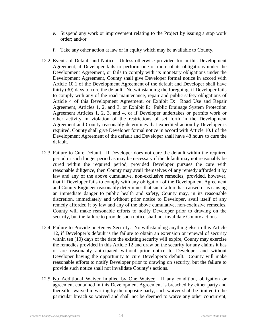- e. Suspend any work or improvement relating to the Project by issuing a stop work order; and/or
- f. Take any other action at law or in equity which may be available to County.
- 12.2. Events of Default and Notice. Unless otherwise provided for in this Development Agreement, if Developer fails to perform one or more of its obligations under the Development Agreement, or fails to comply with its monetary obligations under the Development Agreement, County shall give Developer formal notice in accord with Article 10.1 of the Development Agreement of the default and Developer shall have thirty (30) days to cure the default. Notwithstanding the foregoing, if Developer fails to comply with any of the road maintenance, repair and public safety obligations of Article 4 of this Development Agreement, or Exhibit D: Road Use and Repair Agreement, Articles 1, 2, and 3, or Exhibit E: Public Drainage System Protection Agreement Articles 1, 2, 3, and 4, or if Developer undertakes or permits work or other activity in violation of the restrictions of set forth in the Development Agreement and County reasonably determines that expedited action by Developer is required, County shall give Developer formal notice in accord with Article 10.1 of the Development Agreement of the default and Developer shall have 48 hours to cure the default.
- 12.3. Failure to Cure Default. If Developer does not cure the default within the required period or such longer period as may be necessary if the default may not reasonably be cured within the required period, provided Developer pursues the cure with reasonable diligence, then County may avail themselves of any remedy afforded it by law and any of the above cumulative, non-exclusive remedies; provided, however, that if Developer fails to comply with any obligation of the Development Agreement and County Engineer reasonably determines that such failure has caused or is causing an immediate danger to public health and safety, County may, in its reasonable discretion, immediately and without prior notice to Developer, avail itself of any remedy afforded it by law and any of the above cumulative, non-exclusive remedies. County will make reasonable efforts to notify Developer prior to drawing on the security, but the failure to provide such notice shall not invalidate County actions.
- 12.4. Failure to Provide or Renew Security. Notwithstanding anything else in this Article 12, if Developer's default is the failure to obtain an extension or renewal of security within ten (10) days of the date the existing security will expire, County may exercise the remedies provided in this Article 12 and draw on the security for any claims it has or are reasonably anticipated without prior notice to Developer and without Developer having the opportunity to cure Developer's default. County will make reasonable efforts to notify Developer prior to drawing on security, but the failure to provide such notice shall not invalidate County's actions.
- 12.5. No Additional Waiver Implied by One Waiver. If any condition, obligation or agreement contained in this Development Agreement is breached by either party and thereafter waived in writing by the opposite party, such waiver shall be limited to the particular breach so waived and shall not be deemed to waive any other concurrent,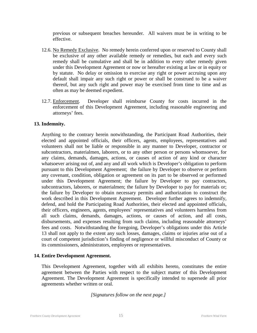previous or subsequent breaches hereunder. All waivers must be in writing to be effective.

- 12.6. No Remedy Exclusive. No remedy herein conferred upon or reserved to County shall be exclusive of any other available remedy or remedies, but each and every such remedy shall be cumulative and shall be in addition to every other remedy given under this Development Agreement or now or hereafter existing at law or in equity or by statute. No delay or omission to exercise any right or power accruing upon any default shall impair any such right or power or shall be construed to be a waiver thereof, but any such right and power may be exercised from time to time and as often as may be deemed expedient.
- 12.7. Enforcement. Developer shall reimburse County for costs incurred in the enforcement of this Development Agreement, including reasonable engineering and attorneys' fees.

#### **13. Indemnity.**

Anything to the contrary herein notwithstanding, the Participant Road Authorities, their elected and appointed officials, their officers, agents, employees, representatives and volunteers shall not be liable or responsible in any manner to Developer, contractor or subcontractors, materialmen, laborers, or to any other person or persons whomsoever, for any claims, demands, damages, actions, or causes of action of any kind or character whatsoever arising out of, and any and all work which is Developer's obligation to perform pursuant to this Development Agreement; the failure by Developer to observe or perform any covenant, condition, obligation or agreement on its part to be observed or performed under this Development Agreement; the failure by Developer to pay contractors, subcontractors, laborers, or materialmen; the failure by Developer to pay for materials or; the failure by Developer to obtain necessary permits and authorization to construct the work described in this Development Agreement. Developer further agrees to indemnify, defend, and hold the Participating Road Authorities, their elected and appointed officials, their officers, engineers, agents, employees' representatives and volunteers harmless from all such claims, demands, damages, actions, or causes of action, and all costs, disbursements, and expenses resulting from such claims, including reasonable attorneys' fees and costs. Notwithstanding the foregoing, Developer's obligations under this Article 13 shall not apply to the extent any such losses, damages, claims or injuries arise out of a court of competent jurisdiction's finding of negligence or willful misconduct of County or its commissioners, administrators, employees or representatives.

#### **14. Entire Development Agreement.**

This Development Agreement, together with all exhibits hereto, constitutes the entire agreement between the Parties with respect to the subject matter of this Development Agreement. The Development Agreement is specifically intended to supersede all prior agreements whether written or oral.

*[Signatures follow on the next page.]*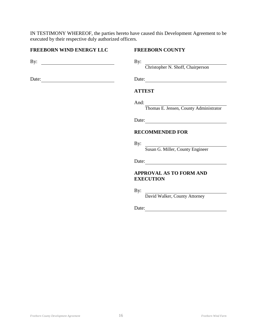IN TESTIMONY WHEREOF, the parties hereto have caused this Development Agreement to be executed by their respective duly authorized officers.

#### **FREEBORN WIND ENERGY LLC FREEBORN COUNTY**

By: By:

Date: Date: Date:

Christopher N. Shoff, Chairperson

#### **ATTEST**

And:

Thomas E. Jensen, County Administrator

Date:

#### **RECOMMENDED FOR**

By: Susan G. Miller, County Engineer

Date:

#### **APPROVAL AS TO FORM AND EXECUTION**

By:

David Walker, County Attorney

Date: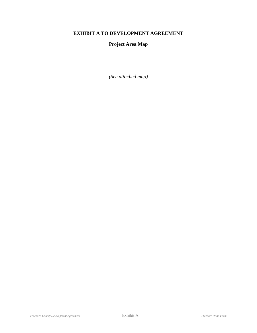# **EXHIBIT A TO DEVELOPMENT AGREEMENT**

### **Project Area Map**

*(See attached map)*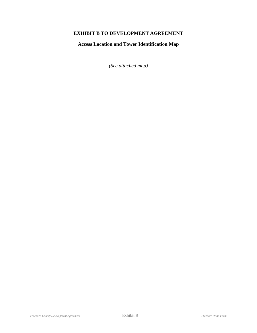# **EXHIBIT B TO DEVELOPMENT AGREEMENT**

**Access Location and Tower Identification Map**

*(See attached map)*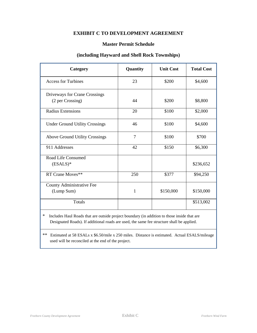## **EXHIBIT C TO DEVELOPMENT AGREEMENT**

#### **Master Permit Schedule**

#### **(including Hayward and Shell Rock Townships)**

| Category                                          | Quantity | <b>Unit Cost</b> | <b>Total Cost</b> |
|---------------------------------------------------|----------|------------------|-------------------|
| <b>Access for Turbines</b>                        | 23       | \$200            | \$4,600           |
| Driveways for Crane Crossings<br>(2 per Crossing) | 44       | \$200            | \$8,800           |
| <b>Radius Extensions</b>                          | 20       | \$100            | \$2,000           |
| <b>Under Ground Utility Crossings</b>             | 46       | \$100            | \$4,600           |
| <b>Above Ground Utility Crossings</b>             | $\tau$   | \$100            | \$700             |
| 911 Addresses                                     | 42       | \$150            | \$6,300           |
| Road Life Consumed<br>$(ESALS)*$                  |          |                  | \$236,652         |
| RT Crane Moves**                                  | 250      | \$377            | \$94,250          |
| <b>County Administrative Fee</b><br>(Lump Sum)    | 1        | \$150,000        | \$150,000         |
| Totals                                            |          |                  | \$513,002         |

\* Includes Haul Roads that are outside project boundary (in addition to those inside that are Designated Roads). If additional roads are used, the same fee structure shall be applied.

\*\* Estimated at 58 ESALs x \$6.50/mile x 250 miles. Distance is estimated. Actual ESALS/mileage used will be reconciled at the end of the project.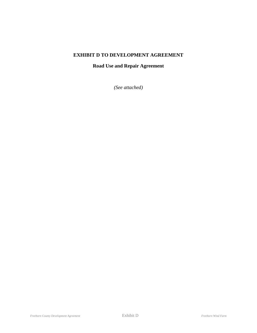# **EXHIBIT D TO DEVELOPMENT AGREEMENT**

# **Road Use and Repair Agreement**

*(See attached)*